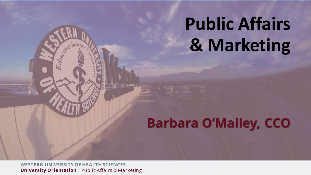## **Public Affairs & Marketing**

### **Barbara O'Malley, CCO**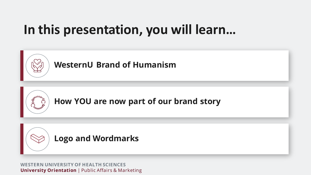### **In this presentation, you will learn…**



**Logo and Wordmarks**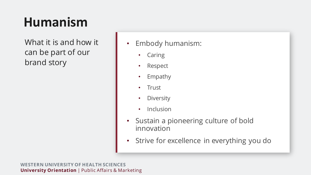## **Humanism**

What it is and how it can be part of our brand story

• Embody humanism:

- Caring
- Respect
- Empathy
- Trust
- Diversity
- Inclusion
- Sustain a pioneering culture of bold innovation
- Strive for excellence in everything you do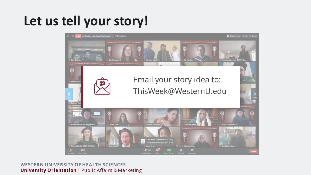### **Let us tell your story!**

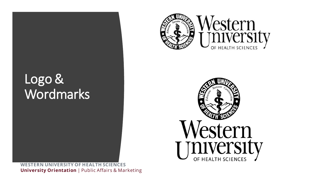### Logo & Wordmarks



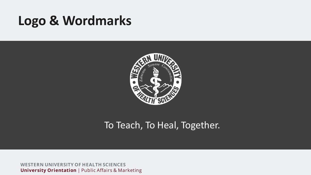### **Logo & Wordmarks**



### To Teach, To Heal, Together.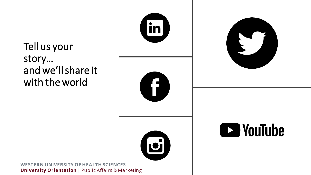Tell us your story… and we'll share it with the world







lin

11<br>11